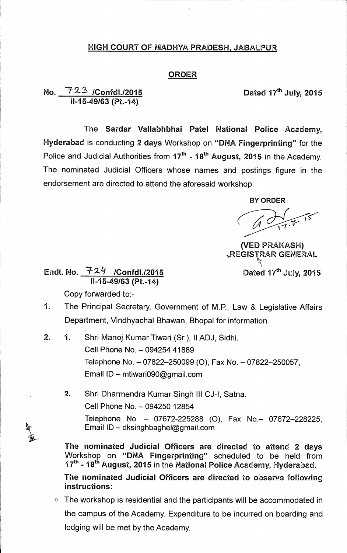## **HIGH COURT OF MADHYA PRADESH, JABALPUR**

## **ORDER**

## **No. -1'2-2/Confdl./2015 Dated 17thJuly, 2015 11-15-49/63 (Pt.-14)**

**The Sardar Vallabhbhai Patel National Police Academy, Hyderabad is conducting 2 days Workshop on "DNA Fingerprinting" for the**  Police and Judicial Authorities from 17<sup>th</sup> - 18<sup>th</sup> August, 2015 in the Academy. **The nominated Judicial Officers whose names and postings figure in the endorsement are directed to attend the aforesaid workshop.** 

**BY ORDER** 

**(VED PRAKASH) vREG1STRAR GENERAL** 

Endt. No. <u>\_\_ + Z + \_ /Confdl./2015</u> \_\_\_\_\_\_\_\_\_\_\_\_\_\_\_\_\_\_\_\_\_Dated 17<sup>th</sup> July, 2015 **11-15-49/63 (Pt.-14)** 

**Copy forwarded to:-** 

- **1. The Principal Secretary, Government of M.P., Law & Legislative Affairs Department, Vindhyachal Bhawan, Bhopal for information.**
- **2. 1. Shri Manoj Kumar Tiwari (Sr.), II ADJ, Sidhi. Cell Phone No. - 094254 41889**  Telephone No. - 07822-250099 (O), Fax No. - 07822-250057, **Email ID - mtiwari090@gmail.com** 
	- **2. Shri Dharmendra Kumar Singh III CJ-I, Satna. Cell Phone No. - 094250 12854 Telephone No. - 07672-225288 (0), Fax No.- 07672-228225, Email ID - dksinghbaghel@gmail.com**

The nominated Judicial Officers are directed to attend 2 days Workshop on "DNA Fingerprinting" scheduled to be held from **17<sup>th</sup> - 18<sup>th</sup> August, 2015 in the National Police Academy, Hyderabad.** 

**The nominated Judicial Officers are directed to observe following instructions:** 

**0 The workshop is residential and the participants will be accommodated in the campus of the Academy. Expenditure to be incurred on boarding and lodging will be met by the Academy.**